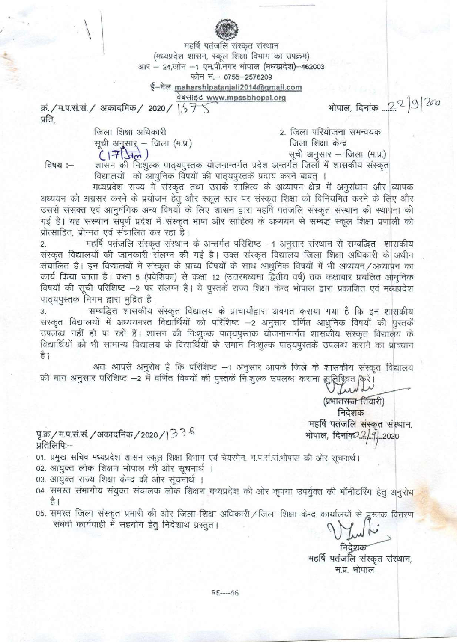महर्षि पतंजलि संस्कृत संस्थान (मध्यप्रदेश शासन, स्कूल शिक्षा विभाग का उपक्रम) आर - 24,जोन -1 एम.पी.नगर भोपाल (मध्यप्रदेश)-462003 फोन नं.- 0755-2576209

ई-मेल maharshipatanjali2014@gmail.com

<u>वेबसाइट www.mpssbhopal.org</u>

क्रं./म.प.सं.सं./ अकादमिक/ 2020/ 137 प्रति,

> जिला शिक्षा अधिकारी सूची अनुसार् – जिला (म.प्र.)  $(1750)$

2. जिला परियोजना समन्वयक जिला शिक्षा केन्द्र सूची अनुसार - जिला (म.प्र.)

भोपाल, दिनांक ... 22 3 200

विषय :—

शासन की निःशुल्क पाठ्यपुस्तक योजनान्तर्गत प्रदेश अन्तर्गत जिलों में शासकीय संस्कृत विद्यालयों को आधुनिक विषयों की पाद्यपुस्तकें प्रदाय करने बावत् ।

मध्यप्रदेश राज्य में संस्कृत तथा उसके साहित्य के अध्यापन क्षेत्र में अनुसंधान और व्यापक अध्ययन को अग्रसर करने के प्रयोजन हेतु और स्कूल स्तर पर संस्कृत शिक्षा को विनियमित करने के लिए और उससे संसक्त एवं आनुषंगिक अन्य विषयों के लिए शासन द्वारा महर्षि पतंजलि संस्कृत संस्थान की स्थापना की गई है। यह संस्थान संपूर्ण प्रदेश में संस्कृत भाषा और साहित्य के अध्ययन से सम्बद्ध स्कूल शिक्षा प्रणाली को प्रोत्साहित, प्रोन्नत एवं संचालित कर रहा है।

महर्षि पतंजलि संस्कृत संस्थान के अन्तर्गत परिशिष्ट --1 अनुसार संस्थान से सम्बद्धित शासकीय  $\overline{2}$ . संस्कृत विद्यालयों की जानकारी संलग्न की गई है। उक्त संस्कृत विद्यालय जिला शिक्षा अधिकारी के अधीन संचालित है। इन विद्यालयों में संस्कृत के प्राच्य विषयों के साथ आधुनिक विषयों में भी अध्ययन/अध्यापन का कार्य किया जाता है। कक्षा 5 (प्रवेशिका) से कक्षा 12 (उत्तरमध्यमा द्वितीय वर्ष) तक कक्षावार प्रचलित आधुनिक विषयों की सूची परिशिष्ट -2 पर संलग्न है। ये पुस्तकें राज्य शिक्षा केन्द्र भोपाल द्वारा प्रकाशित एवं मध्यप्रदेश पाठ्यपुस्तक निगम द्वारा मुद्रित है।

सम्बद्धित शासकीय संस्कृत विद्यालय के प्राचार्योद्वारा अवगत कराया गया है कि इन शासकीय 3. संस्कृत विद्यालयों में अध्ययनरत विद्यार्थियों को परिशिष्ट -2 अनुसार वर्णित आधुनिक विषयों की पुस्तकें उपलब्ध नहीं हो पा रही हैं। शासन की निःशुल्क पाठ्यपुस्तक योजनान्तर्गत शासकीय संस्कृत विद्यालय के विद्यार्थियों को भी सामान्य विद्यालय के विद्यार्थियों के समान निःशुल्क पाठ्यपुस्तकें उपलब्ध कराने का प्रावधान हैं।

अतः आपसे अनुरोध है कि परिशिष्ट –1 अनुसार आपके जिले के शासकीय संस्कृत विद्यालय की मांग अनुसार परिशिष्ट -2 में वर्णित विषयों की पुस्तकें निःशुल्क उपलब्ध कराना सुनिश्चिवत किरें।

> (प्रभातरम्ज तिवारी) निदेशक महर्षि पतंजलि संस्कृत संस्थान, भोपाल, दिनांक2.2/91 2020

पृ.क्र/म.प.सं.सं. / अकादमिक / 2020 / | 3 <sup>7 -6</sup> प्रतिलिपिः-

01. प्रमुख सचिव मध्यप्रदेश शासन स्कूल शिक्षा विभाग एवं चेयरमेन, म.प.सं.सं.भोपाल की ओर सूचनार्थ।

02. आयुक्त लोक शिक्षण भोपाल की ओर सूचनार्थ ।

03. आयुक्त राज्य शिक्षा केन्द्र की ओर सूचनार्थ ।

04. समस्त संभागीय संयुक्त संचालक लोक शिक्षण मध्यप्रदेश की ओर कृपया उपर्युक्त की मॉनीटरिंग हेतु अनुरोध है ।

05. समस्त जिला संस्कृत प्रभारी की ओर जिला शिक्षा अधिकारी / जिला शिक्षा केन्द्र कार्यालयों से प्लुस्तक वितरण संबंधी कार्यवाही में सहयोग हेतू निर्देशार्थ प्रस्तुत।

> महर्षि पतंजलि संस्कृत संस्थान, म.प्र. भोपाल

 $RE---46$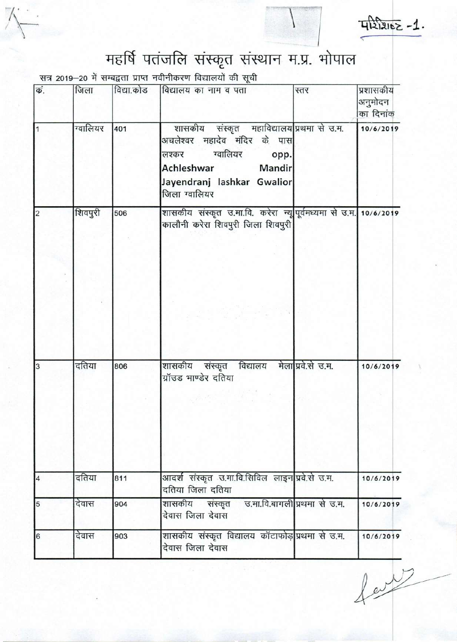

 $T_1 2 2162 - 1$ .

## महर्षि पतंजलि संस्कृत संस्थान म.प्र. भोपाल

सत्र 2019-20 में सम्बद्वता प्राप्त नवीनीकरण विद्यालयों की सूची

| किं.            | जिला     | विद्या.कोड | विद्यालय का नाम व पता                                                                                                                                                   | स्तर               | प्रशासकीय<br>अनुमोदन<br>का दिनांक |
|-----------------|----------|------------|-------------------------------------------------------------------------------------------------------------------------------------------------------------------------|--------------------|-----------------------------------|
| $\vert$ 1       | ग्वालियर | 401        | शासकीय संस्कृत महाविद्यालय प्रथमा से उ.म.<br>अचलेश्वर महादेव मंदिर के पास<br>लश्कर ग्वालियर<br>opp.<br>Achleshwar Mandir<br>Jayendranj lashkar Gwalior<br>जिला ग्वालियर |                    | 10/6/2019                         |
| $\overline{2}$  | शिवपुरी  | 506        | शासकीय संस्कृत उ.मा.वि. करेरा न्यूपूर्वमध्यमा से उ.म. 10/6/2019<br>कालौनी करेरा शिवपुरी जिला शिवपुरी                                                                    |                    |                                   |
|                 |          |            |                                                                                                                                                                         |                    |                                   |
| $\overline{3}$  | दतिया    | 806        | शासकीय संस्कृत विद्यालय<br>ग्रॉउड भाण्डेर दतिया                                                                                                                         | मेला प्रवे.से उ.म. | 10/6/2019                         |
| $\overline{4}$  | दतिया    | 811        | आदर्श संस्कृत उ.मा.वि.सिविल लाइन प्रवे.से उ.म.<br>दतिया जिला दतिया                                                                                                      |                    | 10/6/2019                         |
| 5               | देवास    | 904        | शासकीय संस्कृत उ.मा.वि.बागली प्रथमा से उ.म.<br>देवास जिला देवास                                                                                                         |                    | 10/6/2019                         |
| $6\overline{6}$ | देवास    | 903        | शासकीय संस्कृत विद्यालय कॉटाफोड़ प्रथमा से उ.म.<br>देवास जिला देवास                                                                                                     |                    | 10/6/2019                         |

 $f$  or  $\sqrt{2}$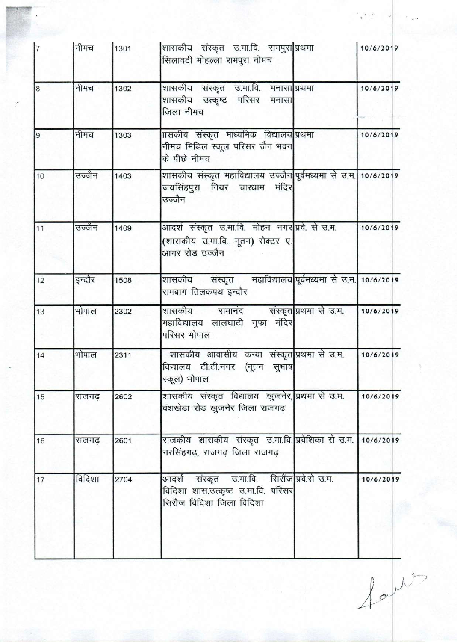| l7             | नीमच   | 1301 | शासकीय संस्कृत उ.मा.वि. रामपुरा प्रथमा<br>सिलावटी मोहल्ला रामपुरा नीमच                                        | 10/6/2019 |
|----------------|--------|------|---------------------------------------------------------------------------------------------------------------|-----------|
| $\overline{8}$ | नीमच   | 1302 | शासकीय संस्कृत उ.मा.वि. मनासाग्रिथमा<br>शासकीय उत्कृष्ट परिसर मनासा<br>जिला नीमच                              | 10/6/2019 |
| $\vert$ 9      | नीमच   | 1303 | ाासकीय संस्कृत माध्यमिक विद्यालय प्रथमा<br>नीमच मिडिल स्कूल परिसर जैन भवन<br>के पीछे नीमच                     | 10/6/2019 |
| 10             | उज्जैन | 1403 | शासकीय संस्कृत महाविद्यालय उज्जैन पूर्वमध्यमा से उ.म. 10/6/2019<br>जयसिंहपुरा नियर चारधाम मंदिर<br>उज्जैन     |           |
| 11             | उज्जैन | 1409 | आदर्श संस्कृत उ.मा.वि. मोहन नगर प्रवे. से उ.म.<br>(शासकीय उ.मा.वि. नूतन) सेक्टर ए.<br>आगर रोड उज्जैन          | 10/6/2019 |
| 12             | इन्दौर | 1508 | शासकीय संस्कृत महाविद्यालय पूर्वमध्यमा से उ.म. 10/6/2019<br>रामबाग तिलकपथ इन्दौर                              |           |
| 13             | भोपाल  | 2302 | शासकीय रामानंद संस्कृत प्रथमा से उ.म.<br>महाविद्यालय लालघाटी गुफा मंदिर<br>परिसर भोपाल                        | 10/6/2019 |
| 14             | भोपाल  | 2311 | शासकीय आवासीय कन्या संस्कृत प्रथमा से उ.म.<br>विद्यालय टी.टी.नगर (नूतन सुभाष<br>स्कूल) भोपाल                  | 10/6/2019 |
| 15             | राजगढ़ | 2602 | शासकीय संस्कृत विद्यालय खुजनेर, प्रथमा से उ.म.<br>वंशखेडा रोड खुजनेर जिला राजगढ़                              | 10/6/2019 |
| 16             | राजगढ  | 2601 | राजकीय शासकीय संस्कृत उ.मा.वि. प्रवेशिका से उ.म.   10/6/2019<br>नरसिंहगढ़, राजगढ़ जिला राजगढ़                 |           |
| 17             | विदिशा | 2704 | आदर्श संस्कृत उ.मा.वि. सिरौंज प्रवे.से उ.म.<br>विदिशा शास.उत्कृष्ट उ.मा.वि. परिसर<br>सिरौज विदिशा जिला विदिशा | 10/6/2019 |

 $f$ apt 

 $\ddot{\phantom{a}}$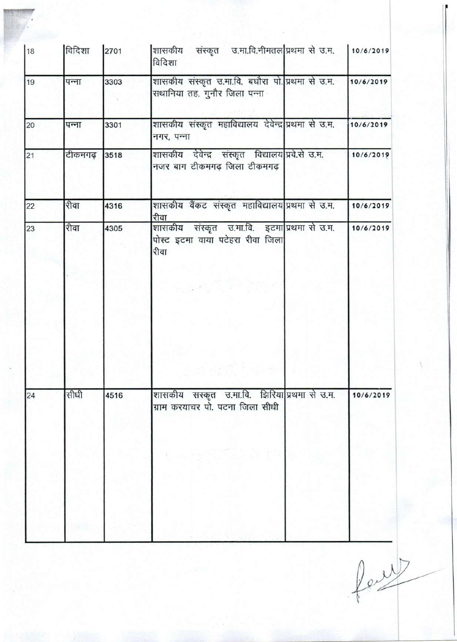| 18 | विदिशा  | 2701 | शासकीय संस्कृत उ.मा.वि.नीमतल प्रथमा से उ.म. 10/6/2019<br>विदिशा                         |           |
|----|---------|------|-----------------------------------------------------------------------------------------|-----------|
| 19 | पन्ना   | 3303 | शासकीय संस्कृत उ.मा.वि. बघौरा पो. प्रथमा से उ.म.<br>सथानिया तह. गुनौर जिला पन्ना        | 10/6/2019 |
| 20 | पन्ना   | 3301 | शासकीय संस्कृत महाविद्यालय देवेन्द्र प्रथमा से उ.म.<br>नगर, पन्ना                       | 10/6/2019 |
| 21 | टीकमगढ़ | 3518 | शासकीय देवेन्द्र संस्कृत विद्यालय प्रवे.से उ.म.<br>नजर बाग टीकमगढ़ जिला टीकमगढ़         | 10/6/2019 |
| 22 | रीवा    | 4316 | शासकीय वैंकट संस्कृत महाविद्यालय प्रथमा से उ.म.<br>रीवा                                 | 10/6/2019 |
| 23 | रीवा    | 4305 | शासकीय संस्कृत उ.मा.वि. इटमा प्रथमा से उ.म.<br>पोस्ट इटमा वाया पटेहरा रीवा जिला<br>रीवा | 10/6/2019 |
|    |         |      |                                                                                         |           |
| 24 | सीधी    | 4516 | शासकीय सस्कृत उ.मा.वि. झिरिया प्रथमा से उ.म.<br>ग्राम करयाचर पो. पटना जिला सीधी         | 10/6/2019 |
|    |         |      |                                                                                         |           |

feut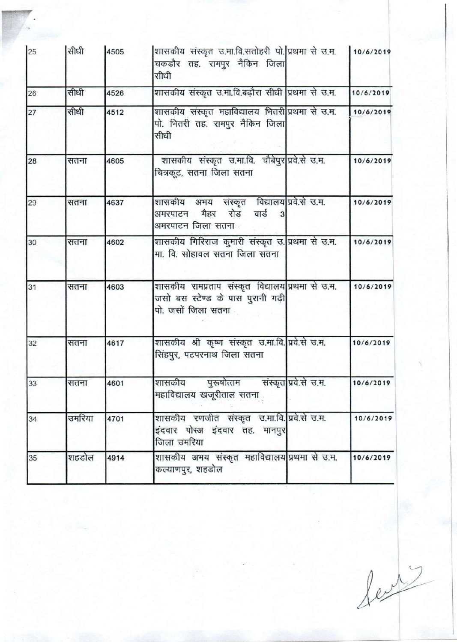| 25 | सीधी   | 4505 | शासकीय संस्कृत उ.मा.वि.सतोहरी पो. प्रथमा से उ.म.   10/6/2019<br>चकडौर तह. रामपुर नैकिन जिला<br>सीधी         |           |
|----|--------|------|-------------------------------------------------------------------------------------------------------------|-----------|
| 26 | सीधी   | 4526 | शासकीय संस्कृत उ.मा.वि.बढ़ौरा सीधी प्रथमा से उ.म.                                                           | 10/6/2019 |
| 27 | सीधी   | 4512 | शासकीय संस्कृत महाविद्यालय भितरी प्रथमा से उ.म.<br>पो. भितरी तह. रामपुर नैकिन जिला<br>सीधी                  | 10/6/2019 |
| 28 | सतना   | 4605 | शासकीय संस्कृत उ.मा.वि. चौबेपुर प्रवे.से उ.म.<br>चित्रकूट, सतना जिला सतना                                   | 10/6/2019 |
| 29 | सतना   | 4637 | शासकीय अभय संस्कृत विद्यालय प्रवे.से उ.म.<br>अमरपाटन मैहर रोड वार्ड<br>अमरपाटन जिला सतना                    | 10/6/2019 |
| 30 | सतना   | 4602 | शासकीय गिरिराज कुमारी संस्कृत उ. प्रथमा से उ.म.<br>मा. वि. सोहावल सतना जिला सतना                            | 10/6/2019 |
| 31 | सतना   | 4603 | शासकीय रामप्रताप संस्कृत विद्यालय प्रथमा से उ.म.<br>जसो बस स्टेण्ड के पास पुरानी गढ़ी<br>पो. जसों जिला सतना | 10/6/2019 |
| 32 | सतना   | 4617 | शासकीय श्री कृष्ण संस्कृत उ.मा.वि. प्रवे.से उ.म.<br>सिंहपुर, पटपरनाथ जिला सतना                              | 10/6/2019 |
| 33 | सतना   | 4601 | संस्कृत प्रवे.से उ.म.<br>शासकीय<br>पुरूषोत्तम<br>महाविद्यालय खजूरीताल सतना                                  | 10/6/2019 |
| 34 | उमरिया | 4701 | शासकीय रणजीत संस्कृत उ.मा.वि. प्रवे.से उ.म.<br>इंदवार पोस्अ इंदवार तह. मानपुर<br>जिला उमरिया                | 10/6/2019 |
| 35 | शहडोल  | 4914 | शासकीय अभय संस्कृत महाविद्यालय प्रथमा से उ.म.<br>कल्याणपुर, शहडोल                                           | 10/6/2019 |

levi